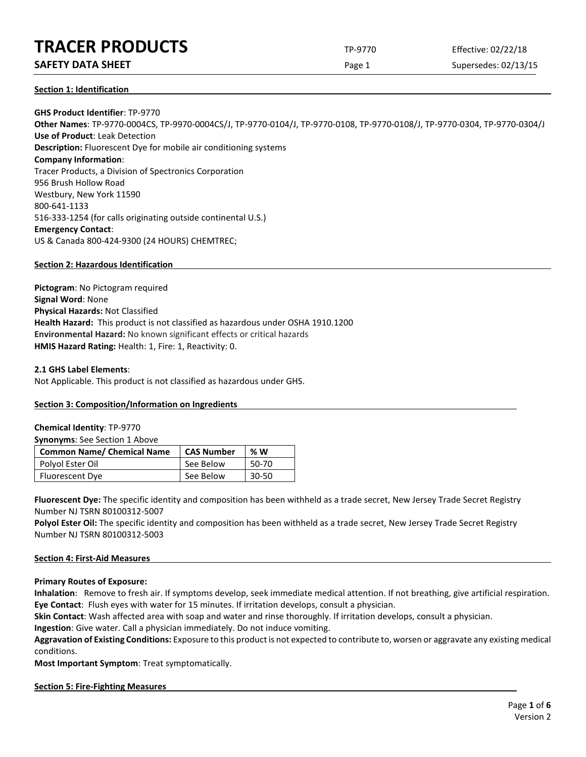### **SAFETY DATA SHEET** SUPERFOUR CONSUMING THE Page 1 Supersedes: 02/13/15

**Section 1: Identification**

**GHS Product Identifier**: TP-9770 **Other Names**: TP-9770-0004CS, TP-9970-0004CS/J, TP-9770-0104/J, TP-9770-0108, TP-9770-0108/J, TP-9770-0304, TP-9770-0304/J **Use of Product**: Leak Detection **Description:** Fluorescent Dye for mobile air conditioning systems **Company Information**: Tracer Products, a Division of Spectronics Corporation 956 Brush Hollow Road Westbury, New York 11590 800-641-1133 516-333-1254 (for calls originating outside continental U.S.) **Emergency Contact**: US & Canada 800-424-9300 (24 HOURS) CHEMTREC;

#### **Section 2: Hazardous Identification**

**Pictogram**: No Pictogram required **Signal Word**: None **Physical Hazards:** Not Classified **Health Hazard:** This product is not classified as hazardous under OSHA 1910.1200 **Environmental Hazard:** No known significant effects or critical hazards **HMIS Hazard Rating:** Health: 1, Fire: 1, Reactivity: 0.

#### **2.1 GHS Label Elements**:

Not Applicable. This product is not classified as hazardous under GHS.

#### **Section 3: Composition/Information on Ingredients**

#### **Chemical Identity**: TP-9770

**Synonyms**: See Section 1 Above

| <b>Common Name/ Chemical Name</b> | <b>CAS Number</b> | %W    |
|-----------------------------------|-------------------|-------|
| Polyol Ester Oil                  | See Below         | 50-70 |
| Fluorescent Dye                   | See Below         | 30-50 |

**Fluorescent Dye:** The specific identity and composition has been withheld as a trade secret, New Jersey Trade Secret Registry Number NJ TSRN 80100312-5007

Polyol Ester Oil: The specific identity and composition has been withheld as a trade secret, New Jersey Trade Secret Registry Number NJ TSRN 80100312-5003

#### **Section 4: First-Aid Measures**

**Primary Routes of Exposure:**

**Inhalation**: Remove to fresh air. If symptoms develop, seek immediate medical attention. If not breathing, give artificial respiration. **Eye Contact**: Flush eyes with water for 15 minutes. If irritation develops, consult a physician.

**Skin Contact**: Wash affected area with soap and water and rinse thoroughly. If irritation develops, consult a physician.

**Ingestion**: Give water. Call a physician immediately. Do not induce vomiting.

**Aggravation of Existing Conditions:** Exposure to this product is not expected to contribute to, worsen or aggravate any existing medical conditions.

**Most Important Symptom**: Treat symptomatically.

#### **Section 5: Fire-Fighting Measures**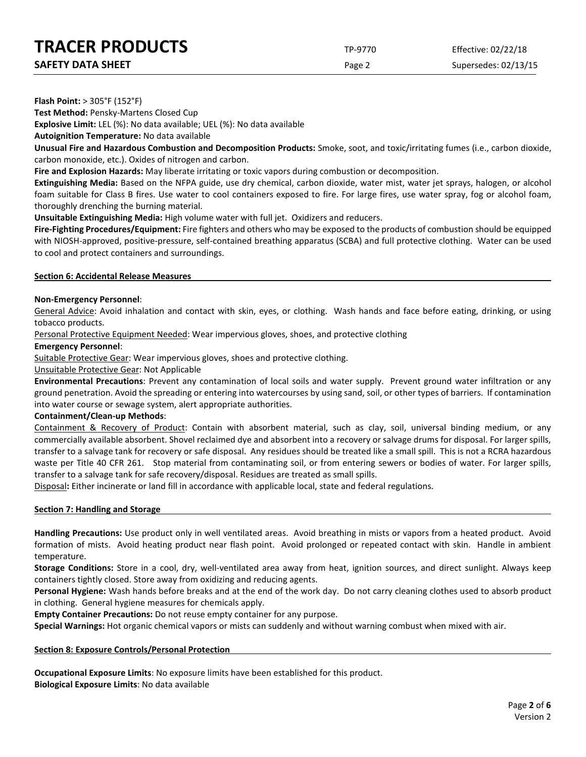Page 2 Supersedes: 02/13/15

**Flash Point:** > 305°F (152°F)

**Test Method:** Pensky-Martens Closed Cup

**Explosive Limit:** LEL (%): No data available; UEL (%): No data available

**Autoignition Temperature:** No data available

**Unusual Fire and Hazardous Combustion and Decomposition Products:** Smoke, soot, and toxic/irritating fumes (i.e., carbon dioxide, carbon monoxide, etc.). Oxides of nitrogen and carbon.

**Fire and Explosion Hazards:** May liberate irritating or toxic vapors during combustion or decomposition.

**Extinguishing Media:** Based on the NFPA guide, use dry chemical, carbon dioxide, water mist, water jet sprays, halogen, or alcohol foam suitable for Class B fires. Use water to cool containers exposed to fire. For large fires, use water spray, fog or alcohol foam, thoroughly drenching the burning material.

**Unsuitable Extinguishing Media:** High volume water with full jet. Oxidizers and reducers.

**Fire-Fighting Procedures/Equipment:** Fire fighters and others who may be exposed to the products of combustion should be equipped with NIOSH-approved, positive-pressure, self-contained breathing apparatus (SCBA) and full protective clothing. Water can be used to cool and protect containers and surroundings.

#### **Section 6: Accidental Release Measures**

#### **Non-Emergency Personnel**:

General Advice: Avoid inhalation and contact with skin, eyes, or clothing. Wash hands and face before eating, drinking, or using tobacco products.

Personal Protective Equipment Needed: Wear impervious gloves, shoes, and protective clothing

#### **Emergency Personnel**:

Suitable Protective Gear: Wear impervious gloves, shoes and protective clothing.

#### Unsuitable Protective Gear: Not Applicable

**Environmental Precautions**: Prevent any contamination of local soils and water supply. Prevent ground water infiltration or any ground penetration. Avoid the spreading or entering into watercourses by using sand, soil, or other types of barriers. If contamination into water course or sewage system, alert appropriate authorities.

#### **Containment/Clean-up Methods**:

Containment & Recovery of Product: Contain with absorbent material, such as clay, soil, universal binding medium, or any commercially available absorbent. Shovel reclaimed dye and absorbent into a recovery or salvage drums for disposal. For larger spills, transfer to a salvage tank for recovery or safe disposal. Any residues should be treated like a small spill. This is not a RCRA hazardous waste per Title 40 CFR 261. Stop material from contaminating soil, or from entering sewers or bodies of water. For larger spills, transfer to a salvage tank for safe recovery/disposal. Residues are treated as small spills.

Disposal**:** Either incinerate or land fill in accordance with applicable local, state and federal regulations.

#### **Section 7: Handling and Storage**

**Handling Precautions:** Use product only in well ventilated areas. Avoid breathing in mists or vapors from a heated product. Avoid formation of mists. Avoid heating product near flash point. Avoid prolonged or repeated contact with skin. Handle in ambient temperature.

**Storage Conditions:** Store in a cool, dry, well-ventilated area away from heat, ignition sources, and direct sunlight. Always keep containers tightly closed. Store away from oxidizing and reducing agents.

**Personal Hygiene:** Wash hands before breaks and at the end of the work day. Do not carry cleaning clothes used to absorb product in clothing. General hygiene measures for chemicals apply.

**Empty Container Precautions:** Do not reuse empty container for any purpose.

**Special Warnings:** Hot organic chemical vapors or mists can suddenly and without warning combust when mixed with air.

#### **Section 8: Exposure Controls/Personal Protection**

**Occupational Exposure Limits**: No exposure limits have been established for this product. **Biological Exposure Limits**: No data available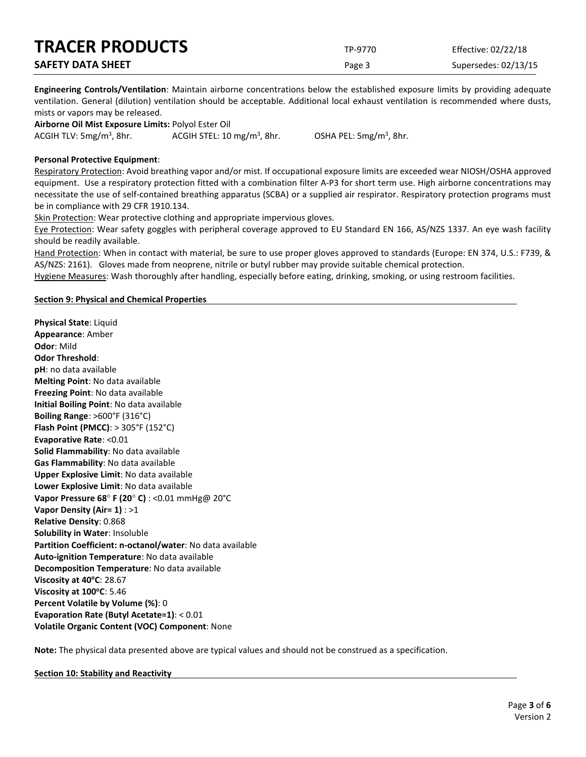| <b>TRACER PRODUCTS</b>   | TP-9770 | Effective: 02/22/18  |
|--------------------------|---------|----------------------|
| <b>SAFETY DATA SHEET</b> | Page 3  | Supersedes: 02/13/15 |

**Engineering Controls/Ventilation**: Maintain airborne concentrations below the established exposure limits by providing adequate ventilation. General (dilution) ventilation should be acceptable. Additional local exhaust ventilation is recommended where dusts, mists or vapors may be released.

**Airborne Oil Mist Exposure Limits:** Polyol Ester Oil ACGIH TLV:  $5mg/m<sup>3</sup>$ , 8hr. ACGIH STEL:  $10 \text{ mg/m}^3$ , 8hr.

, 8hr. OSHA PEL: 5mg/m3 , 8hr.

#### **Personal Protective Equipment**:

Respiratory Protection: Avoid breathing vapor and/or mist. If occupational exposure limits are exceeded wear NIOSH/OSHA approved equipment. Use a respiratory protection fitted with a combination filter A-P3 for short term use. High airborne concentrations may necessitate the use of self-contained breathing apparatus (SCBA) or a supplied air respirator. Respiratory protection programs must be in compliance with 29 CFR 1910.134.

Skin Protection: Wear protective clothing and appropriate impervious gloves.

Eye Protection: Wear safety goggles with peripheral coverage approved to EU Standard EN 166, AS/NZS 1337. An eye wash facility should be readily available.

Hand Protection: When in contact with material, be sure to use proper gloves approved to standards (Europe: EN 374, U.S.: F739, & AS/NZS: 2161). Gloves made from neoprene, nitrile or butyl rubber may provide suitable chemical protection.

Hygiene Measures: Wash thoroughly after handling, especially before eating, drinking, smoking, or using restroom facilities.

#### **Section 9: Physical and Chemical Properties**

**Physical State**: Liquid **Appearance**: Amber **Odor**: Mild **Odor Threshold**: **pH**: no data available **Melting Point**: No data available **Freezing Point**: No data available **Initial Boiling Point**: No data available **Boiling Range**: >600°F (316°C) **Flash Point (PMCC)**: > 305°F (152°C) **Evaporative Rate**: <0.01 **Solid Flammability**: No data available **Gas Flammability**: No data available **Upper Explosive Limit**: No data available **Lower Explosive Limit**: No data available **Vapor Pressure 68**° **F (20**° **C)** : <0.01 mmHg@ 20°C **Vapor Density (Air= 1)** : >1 **Relative Density**: 0.868 **Solubility in Water**: Insoluble **Partition Coefficient: n-octanol/water**: No data available **Auto-ignition Temperature**: No data available **Decomposition Temperature**: No data available **Viscosity at 40°C: 28.67 Viscosity at 100°C: 5.46 Percent Volatile by Volume (%)**: 0 **Evaporation Rate (Butyl Acetate=1)**: < 0.01 **Volatile Organic Content (VOC) Component**: None

**Note:** The physical data presented above are typical values and should not be construed as a specification.

**Section 10: Stability and Reactivity**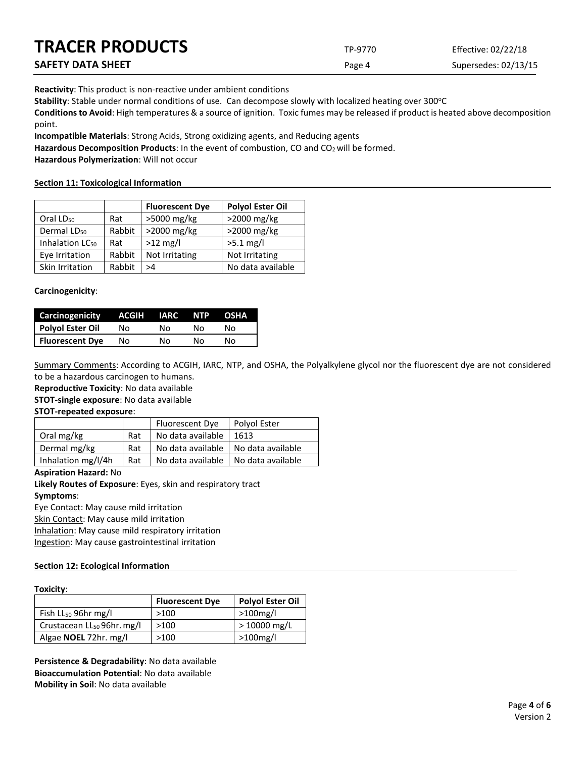| <b>TRACER PRODUCTS</b> | TP-9770 | Effective: 02/22/18  |
|------------------------|---------|----------------------|
| SAFETY DATA SHEET      | Page 4  | Supersedes: 02/13/15 |

**Reactivity**: This product is non-reactive under ambient conditions

Stability: Stable under normal conditions of use. Can decompose slowly with localized heating over 300°C

**Conditions to Avoid**: High temperatures & a source of ignition. Toxic fumes may be released if product is heated above decomposition point.

**Incompatible Materials**: Strong Acids, Strong oxidizing agents, and Reducing agents

Hazardous Decomposition Products: In the event of combustion, CO and CO<sub>2</sub> will be formed.

**Hazardous Polymerization**: Will not occur

#### **Section 11: Toxicological Information**

|                             |        | <b>Fluorescent Dye</b> | <b>Polyol Ester Oil</b> |
|-----------------------------|--------|------------------------|-------------------------|
| Oral LD <sub>50</sub>       | Rat    | >5000 mg/kg            | >2000 mg/kg             |
| Dermal LD <sub>50</sub>     | Rabbit | >2000 mg/kg            | >2000 mg/kg             |
| Inhalation LC <sub>50</sub> | Rat    | $>12$ mg/l             | $>5.1$ mg/l             |
| Eye Irritation              | Rabbit | Not Irritating         | Not Irritating          |
| Skin Irritation             | Rabbit | >4                     | No data available       |

#### **Carcinogenicity**:

| <b>Carcinogenicity</b> | ACGIH | IARC | NTP | <b>OSHA</b> |
|------------------------|-------|------|-----|-------------|
| Polyol Ester Oil       | Nο    | N٥   | N٥  | N٥          |
| <b>Fluorescent Dye</b> | No    | N٥   | N٥  | N٥          |

Summary Comments: According to ACGIH, IARC, NTP, and OSHA, the Polyalkylene glycol nor the fluorescent dye are not considered to be a hazardous carcinogen to humans.

**Reproductive Toxicity**: No data available

**STOT-single exposure**: No data available

#### **STOT-repeated exposure**:

|                    |     | Fluorescent Dye   | Polyol Ester      |
|--------------------|-----|-------------------|-------------------|
| Oral mg/kg         | Rat | No data available | 1613              |
| Dermal mg/kg       | Rat | No data available | No data available |
| Inhalation mg/l/4h | Rat | No data available | No data available |

#### **Aspiration Hazard:** No

**Likely Routes of Exposure**: Eyes, skin and respiratory tract **Symptoms**:

Eye Contact: May cause mild irritation

Skin Contact: May cause mild irritation

Inhalation: May cause mild respiratory irritation

Ingestion: May cause gastrointestinal irritation

#### **Section 12: Ecological Information**

#### **Toxicity**:

|                                        | <b>Fluorescent Dye</b> | <b>Polyol Ester Oil</b> |
|----------------------------------------|------------------------|-------------------------|
| Fish LL <sub>50</sub> 96hr mg/l        | >100                   | >100mg/l                |
| Crustacean LL <sub>50</sub> 96hr. mg/l | >100                   | $>10000$ mg/L           |
| Algae <b>NOEL</b> 72hr. mg/l           | >100                   | $>100$ mg/l             |

**Persistence & Degradability**: No data available **Bioaccumulation Potential**: No data available **Mobility in Soil**: No data available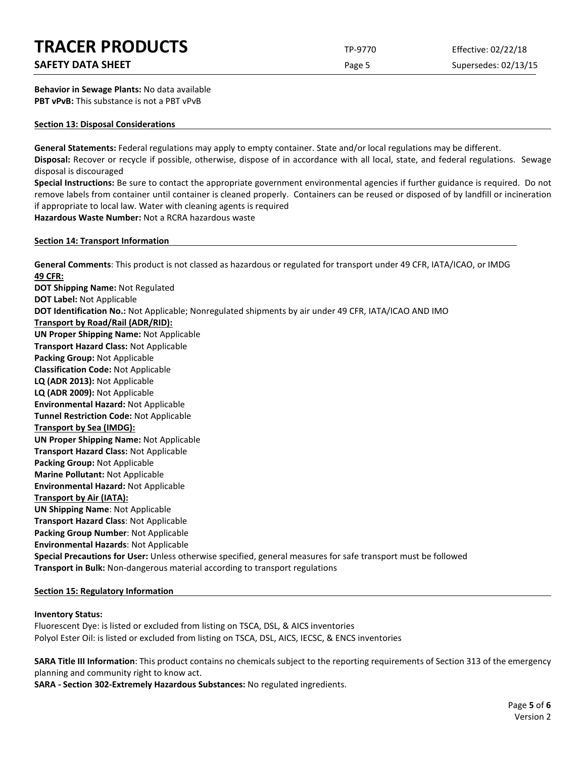### **SAFETY DATA SHEET** SUPERFOUR SAFET ASSESSED A REPORT OF SUPERFOURITY DATA SUPERFOURITY OF SUPERFOURITY OF SUPERFOURITY OF SUPERFOURITY OF SUPERFOURITY OF SUPERFOURITY OF SUPERFOURITY OF SUPERFOURITY OF SUPERFOURITY OF SUP

**Behavior in Sewage Plants:** No data available **PBT vPvB:** This substance is not a PBT vPvB

#### **Section 13: Disposal Considerations**

**General Statements:** Federal regulations may apply to empty container. State and/or local regulations may be different. **Disposal:** Recover or recycle if possible, otherwise, dispose of in accordance with all local, state, and federal regulations. Sewage disposal is discouraged

**Special Instructions:** Be sure to contact the appropriate government environmental agencies if further guidance is required. Do not remove labels from container until container is cleaned properly. Containers can be reused or disposed of by landfill or incineration if appropriate to local law. Water with cleaning agents is required **Hazardous Waste Number:** Not a RCRA hazardous waste

**Section 14: Transport Information**

**General Comments**: This product is not classed as hazardous or regulated for transport under 49 CFR, IATA/ICAO, or IMDG **49 CFR: DOT Shipping Name:** Not Regulated **DOT Label:** Not Applicable **DOT Identification No.:** Not Applicable; Nonregulated shipments by air under 49 CFR, IATA/ICAO AND IMO **Transport by Road/Rail (ADR/RID): UN Proper Shipping Name:** Not Applicable **Transport Hazard Class:** Not Applicable **Packing Group:** Not Applicable **Classification Code:** Not Applicable **LQ (ADR 2013):** Not Applicable **LQ (ADR 2009):** Not Applicable **Environmental Hazard:** Not Applicable **Tunnel Restriction Code:** Not Applicable **Transport by Sea (IMDG): UN Proper Shipping Name:** Not Applicable **Transport Hazard Class:** Not Applicable **Packing Group:** Not Applicable **Marine Pollutant:** Not Applicable **Environmental Hazard:** Not Applicable **Transport by Air (IATA): UN Shipping Name**: Not Applicable **Transport Hazard Class**: Not Applicable **Packing Group Number**: Not Applicable **Environmental Hazards**: Not Applicable **Special Precautions for User:** Unless otherwise specified, general measures for safe transport must be followed **Transport in Bulk:** Non-dangerous material according to transport regulations

#### **Section 15: Regulatory Information**

#### **Inventory Status:**

Fluorescent Dye: is listed or excluded from listing on TSCA, DSL, & AICS inventories Polyol Ester Oil: is listed or excluded from listing on TSCA, DSL, AICS, IECSC, & ENCS inventories

**SARA Title III Information**: This product contains no chemicals subject to the reporting requirements of Section 313 of the emergency planning and community right to know act.

**SARA - Section 302-Extremely Hazardous Substances:** No regulated ingredients.